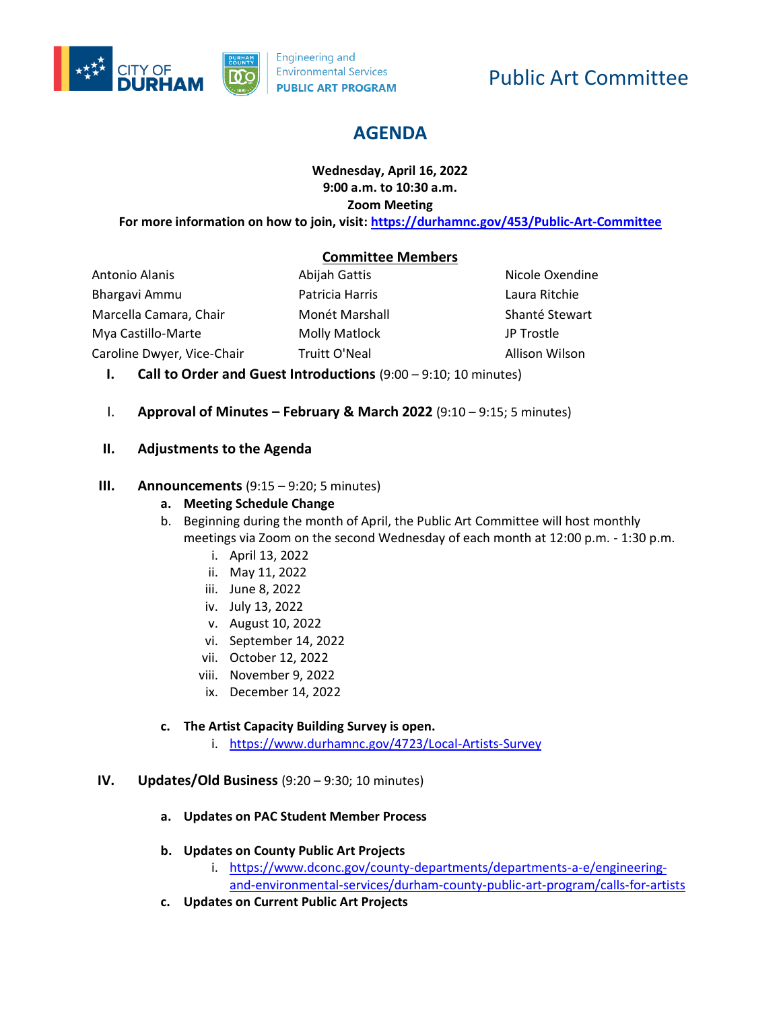

# Public Art Committee

# **AGENDA**

#### **Wednesday, April 16, 2022 9:00 a.m. to 10:30 a.m. Zoom Meeting**

**For more information on how to join, visit[: https://durhamnc.gov/453/Public-Art-Committee](https://durhamnc.gov/453/Public-Art-Committee)**

# **Committee Members**

Antonio Alanis Bhargavi Ammu Marcella Camara, Chair Mya Castillo-Marte Caroline Dwyer, Vice-Chair

Abijah Gattis Patricia Harris Monét Marshall Molly Matlock Truitt O'Neal

Nicole Oxendine Laura Ritchie Shanté Stewart JP Trostle Allison Wilson

- **I. Call to Order and Guest Introductions** (9:00 9:10; 10 minutes)
- I. **Approval of Minutes – February & March 2022** (9:10 9:15; 5 minutes)

# **II. Adjustments to the Agenda**

#### **III. Announcements** (9:15 – 9:20; 5 minutes)

- **a. Meeting Schedule Change**
- b. Beginning during the month of April, the Public Art Committee will host monthly meetings via Zoom on the second Wednesday of each month at 12:00 p.m. - 1:30 p.m.
	- i. April 13, 2022
	- ii. May 11, 2022
	- iii. June 8, 2022
	- iv. July 13, 2022
	- v. August 10, 2022
	- vi. September 14, 2022
	- vii. October 12, 2022
	- viii. November 9, 2022
	- ix. December 14, 2022

# **c. The Artist Capacity Building Survey is open.**

i. <https://www.durhamnc.gov/4723/Local-Artists-Survey>

#### **IV. Updates/Old Business** (9:20 – 9:30; 10 minutes)

- **a. Updates on PAC Student Member Process**
- **b. Updates on County Public Art Projects**
	- i. [https://www.dconc.gov/county-departments/departments-a-e/engineering](https://www.dconc.gov/county-departments/departments-a-e/engineering-and-environmental-services/durham-county-public-art-program/calls-for-artists)[and-environmental-services/durham-county-public-art-program/calls-for-artists](https://www.dconc.gov/county-departments/departments-a-e/engineering-and-environmental-services/durham-county-public-art-program/calls-for-artists)
- **c. Updates on Current Public Art Projects**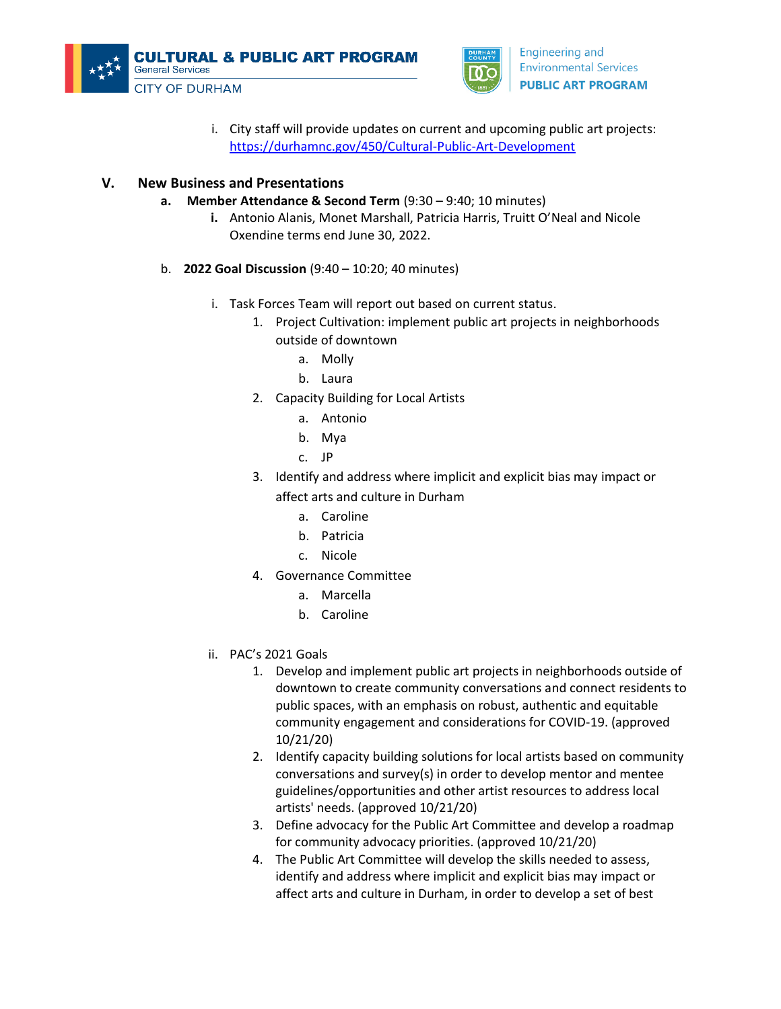



i. City staff will provide updates on current and upcoming public art projects: <https://durhamnc.gov/450/Cultural-Public-Art-Development>

#### **V. New Business and Presentations**

- **a. Member Attendance & Second Term** (9:30 9:40; 10 minutes)
	- **i.** Antonio Alanis, Monet Marshall, Patricia Harris, Truitt O'Neal and Nicole Oxendine terms end June 30, 2022.
- b. **2022 Goal Discussion** (9:40 10:20; 40 minutes)
	- i. Task Forces Team will report out based on current status.
		- 1. Project Cultivation: implement public art projects in neighborhoods outside of downtown
			- a. Molly
			- b. Laura
		- 2. Capacity Building for Local Artists
			- a. Antonio
			- b. Mya
			- c. JP
		- 3. Identify and address where implicit and explicit bias may impact or affect arts and culture in Durham
			- a. Caroline
			- b. Patricia
			- c. Nicole
		- 4. Governance Committee
			- a. Marcella
			- b. Caroline
	- ii. PAC's 2021 Goals
		- 1. Develop and implement public art projects in neighborhoods outside of downtown to create community conversations and connect residents to public spaces, with an emphasis on robust, authentic and equitable community engagement and considerations for COVID-19. (approved 10/21/20)
		- 2. Identify capacity building solutions for local artists based on community conversations and survey(s) in order to develop mentor and mentee guidelines/opportunities and other artist resources to address local artists' needs. (approved 10/21/20)
		- 3. Define advocacy for the Public Art Committee and develop a roadmap for community advocacy priorities. (approved 10/21/20)
		- 4. The Public Art Committee will develop the skills needed to assess, identify and address where implicit and explicit bias may impact or affect arts and culture in Durham, in order to develop a set of best